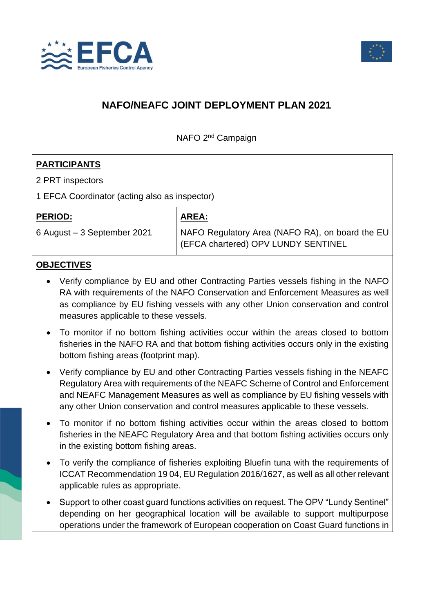



# **NAFO/NEAFC JOINT DEPLOYMENT PLAN 2021**

NAFO 2<sup>nd</sup> Campaign

# **PARTICIPANTS**

2 PRT inspectors

1 EFCA Coordinator (acting also as inspector)

**PERIOD:**

#### **AREA:**

6 August – 3 September 2021

NAFO Regulatory Area (NAFO RA), on board the EU (EFCA chartered) OPV LUNDY SENTINEL

### **OBJECTIVES**

- Verify compliance by EU and other Contracting Parties vessels fishing in the NAFO RA with requirements of the NAFO Conservation and Enforcement Measures as well as compliance by EU fishing vessels with any other Union conservation and control measures applicable to these vessels.
- To monitor if no bottom fishing activities occur within the areas closed to bottom fisheries in the NAFO RA and that bottom fishing activities occurs only in the existing bottom fishing areas (footprint map).
- Verify compliance by EU and other Contracting Parties vessels fishing in the NEAFC Regulatory Area with requirements of the NEAFC Scheme of Control and Enforcement and NEAFC Management Measures as well as compliance by EU fishing vessels with any other Union conservation and control measures applicable to these vessels.
- To monitor if no bottom fishing activities occur within the areas closed to bottom fisheries in the NEAFC Regulatory Area and that bottom fishing activities occurs only in the existing bottom fishing areas.
- To verify the compliance of fisheries exploiting Bluefin tuna with the requirements of ICCAT Recommendation 19 04, EU Regulation 2016/1627, as well as all other relevant applicable rules as appropriate.
- Support to other coast guard functions activities on request. The OPV "Lundy Sentinel" depending on her geographical location will be available to support multipurpose operations under the framework of European cooperation on Coast Guard functions in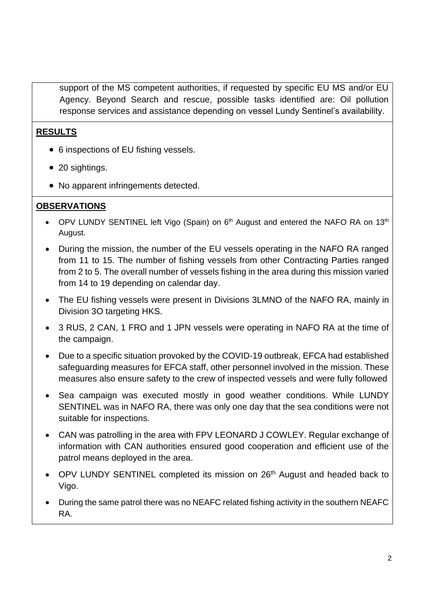support of the MS competent authorities, if requested by specific EU MS and/or EU Agency. Beyond Search and rescue, possible tasks identified are: Oil pollution response services and assistance depending on vessel Lundy Sentinel's availability.

#### **RESULTS**

- 6 inspections of EU fishing vessels.
- 20 sightings.
- No apparent infringements detected.

# **OBSERVATIONS**

- OPV LUNDY SENTINEL left Vigo (Spain) on 6<sup>th</sup> August and entered the NAFO RA on 13<sup>th</sup> August.
- During the mission, the number of the EU vessels operating in the NAFO RA ranged from 11 to 15. The number of fishing vessels from other Contracting Parties ranged from 2 to 5. The overall number of vessels fishing in the area during this mission varied from 14 to 19 depending on calendar day.
- The EU fishing vessels were present in Divisions 3LMNO of the NAFO RA, mainly in Division 3O targeting HKS.
- 3 RUS, 2 CAN, 1 FRO and 1 JPN vessels were operating in NAFO RA at the time of the campaign.
- Due to a specific situation provoked by the COVID-19 outbreak, EFCA had established safeguarding measures for EFCA staff, other personnel involved in the mission. These measures also ensure safety to the crew of inspected vessels and were fully followed
- Sea campaign was executed mostly in good weather conditions. While LUNDY SENTINEL was in NAFO RA, there was only one day that the sea conditions were not suitable for inspections.
- CAN was patrolling in the area with FPV LEONARD J COWLEY. Regular exchange of information with CAN authorities ensured good cooperation and efficient use of the patrol means deployed in the area.
- OPV LUNDY SENTINEL completed its mission on 26<sup>th</sup> August and headed back to Vigo.
- During the same patrol there was no NEAFC related fishing activity in the southern NEAFC RA.